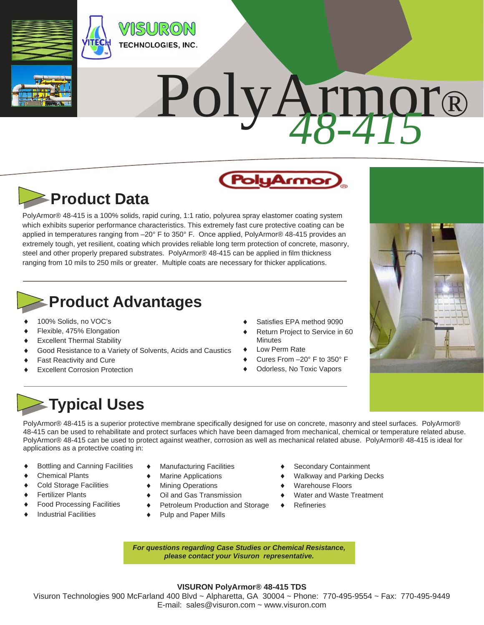

# PolyArmor® *48-415*



PolyArmor® 48-415 is a 100% solids, rapid curing, 1:1 ratio, polyurea spray elastomer coating system which exhibits superior performance characteristics. This extremely fast cure protective coating can be applied in temperatures ranging from –20° F to 350° F. Once applied, PolyArmor® 48-415 provides an extremely tough, yet resilient, coating which provides reliable long term protection of concrete, masonry, steel and other properly prepared substrates. PolyArmor® 48-415 can be applied in film thickness ranging from 10 mils to 250 mils or greater. Multiple coats are necessary for thicker applications.

### **Product Advantages**

- 100% Solids, no VOC's
- Flexible, 475% Elongation
- Excellent Thermal Stability
- Good Resistance to a Variety of Solvents, Acids and Caustics
- Fast Reactivity and Cure
- Excellent Corrosion Protection
- Satisfies EPA method 9090
- Return Project to Service in 60 **Minutes**
- Low Perm Rate
- Cures From –20° F to 350° F
- Odorless, No Toxic Vapors



## **Typical Uses**

PolyArmor® 48-415 is a superior protective membrane specifically designed for use on concrete, masonry and steel surfaces. PolyArmor® 48-415 can be used to rehabilitate and protect surfaces which have been damaged from mechanical, chemical or temperature related abuse. PolyArmor® 48-415 can be used to protect against weather, corrosion as well as mechanical related abuse. PolyArmor® 48-415 is ideal for applications as a protective coating in:

- ♦ Bottling and Canning Facilities
- Chemical Plants
- Cold Storage Facilities
- Fertilizer Plants
- Food Processing Facilities
- Industrial Facilities
- ◆ Manufacturing Facilities
- Marine Applications
- ◆ Mining Operations
- Oil and Gas Transmission
- ◆ Petroleum Production and Storage
	- Pulp and Paper Mills
- Secondary Containment
- Walkway and Parking Decks
- Warehouse Floors
- Water and Waste Treatment
- Refineries

*For questions regarding Case Studies or Chemical Resistance, please contact your Visuron representative.* 

### **VISURON PolyArmor® 48-415 TDS**

Visuron Technologies 900 McFarland 400 Blvd ~ Alpharetta, GA 30004 ~ Phone: 770-495-9554 ~ Fax: 770-495-9449 E-mail: sales@visuron.com ~ www.visuron.com